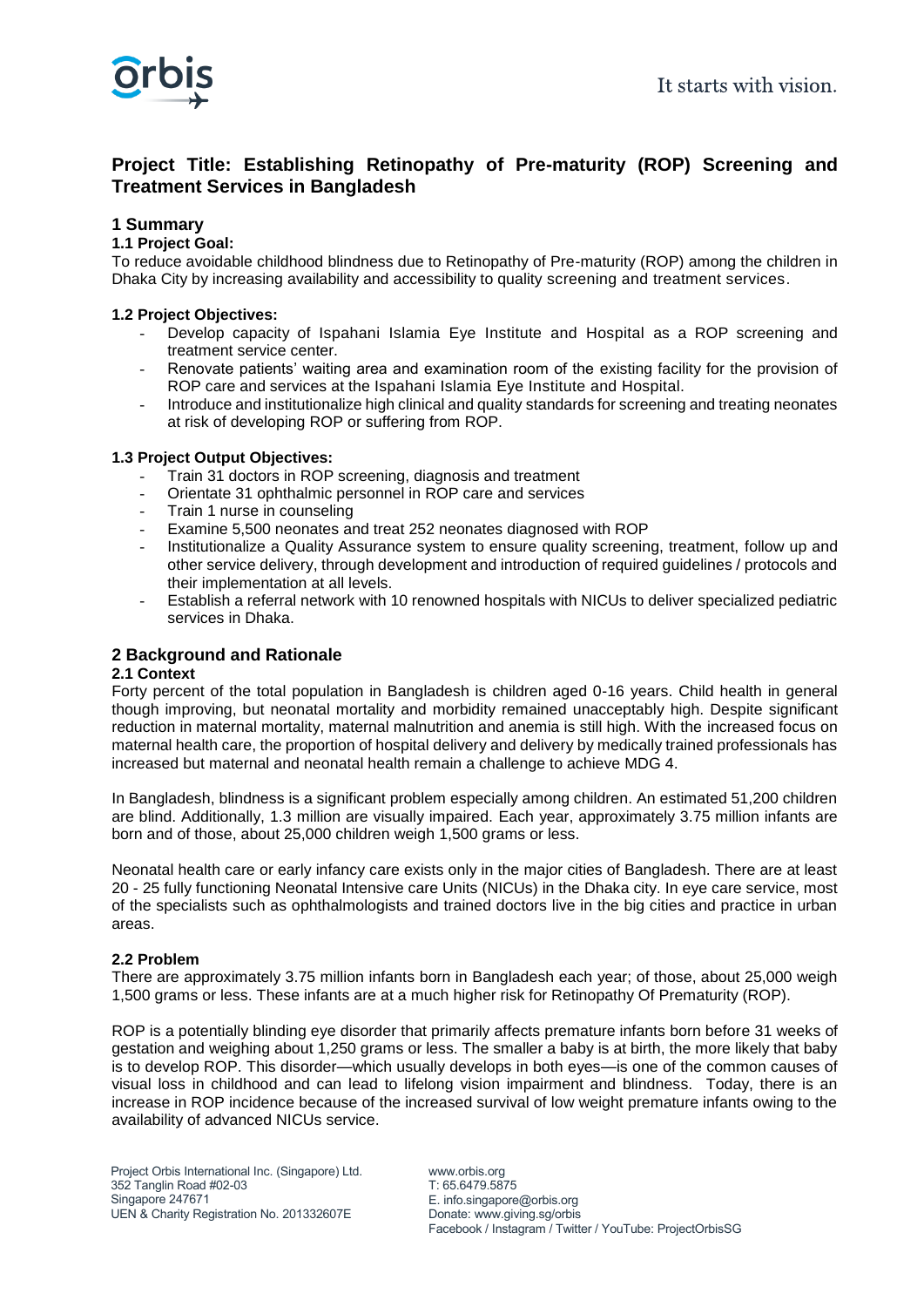

# **Project Title: Establishing Retinopathy of Pre-maturity (ROP) Screening and Treatment Services in Bangladesh**

## **1 Summary**

## **1.1 Project Goal:**

To reduce avoidable childhood blindness due to Retinopathy of Pre-maturity (ROP) among the children in Dhaka City by increasing availability and accessibility to quality screening and treatment services.

#### **1.2 Project Objectives:**

- Develop capacity of Ispahani Islamia Eye Institute and Hospital as a ROP screening and treatment service center.
- Renovate patients' waiting area and examination room of the existing facility for the provision of ROP care and services at the Ispahani Islamia Eye Institute and Hospital.
- Introduce and institutionalize high clinical and quality standards for screening and treating neonates at risk of developing ROP or suffering from ROP.

#### **1.3 Project Output Objectives:**

- Train 31 doctors in ROP screening, diagnosis and treatment
- Orientate 31 ophthalmic personnel in ROP care and services
- Train 1 nurse in counseling
- Examine 5,500 neonates and treat 252 neonates diagnosed with ROP
- Institutionalize a Quality Assurance system to ensure quality screening, treatment, follow up and other service delivery, through development and introduction of required guidelines / protocols and their implementation at all levels.
- Establish a referral network with 10 renowned hospitals with NICUs to deliver specialized pediatric services in Dhaka.

## **2 Background and Rationale**

#### **2.1 Context**

Forty percent of the total population in Bangladesh is children aged 0-16 years. Child health in general though improving, but neonatal mortality and morbidity remained unacceptably high. Despite significant reduction in maternal mortality, maternal malnutrition and anemia is still high. With the increased focus on maternal health care, the proportion of hospital delivery and delivery by medically trained professionals has increased but maternal and neonatal health remain a challenge to achieve MDG 4.

In Bangladesh, blindness is a significant problem especially among children. An estimated 51,200 children are blind. Additionally, 1.3 million are visually impaired. Each year, approximately 3.75 million infants are born and of those, about 25,000 children weigh 1,500 grams or less.

Neonatal health care or early infancy care exists only in the major cities of Bangladesh. There are at least 20 - 25 fully functioning Neonatal Intensive care Units (NICUs) in the Dhaka city. In eye care service, most of the specialists such as ophthalmologists and trained doctors live in the big cities and practice in urban areas.

#### **2.2 Problem**

There are approximately 3.75 million infants born in Bangladesh each year; of those, about 25,000 weigh 1,500 grams or less. These infants are at a much higher risk for Retinopathy Of Prematurity (ROP).

ROP is a potentially blinding eye disorder that primarily affects premature infants born before 31 weeks of gestation and weighing about 1,250 grams or less. The smaller a baby is at birth, the more likely that baby is to develop ROP. This disorder—which usually develops in both eyes—is one of the common causes of visual loss in childhood and can lead to lifelong vision impairment and blindness. Today, there is an increase in ROP incidence because of the increased survival of low weight premature infants owing to the availability of advanced NICUs service.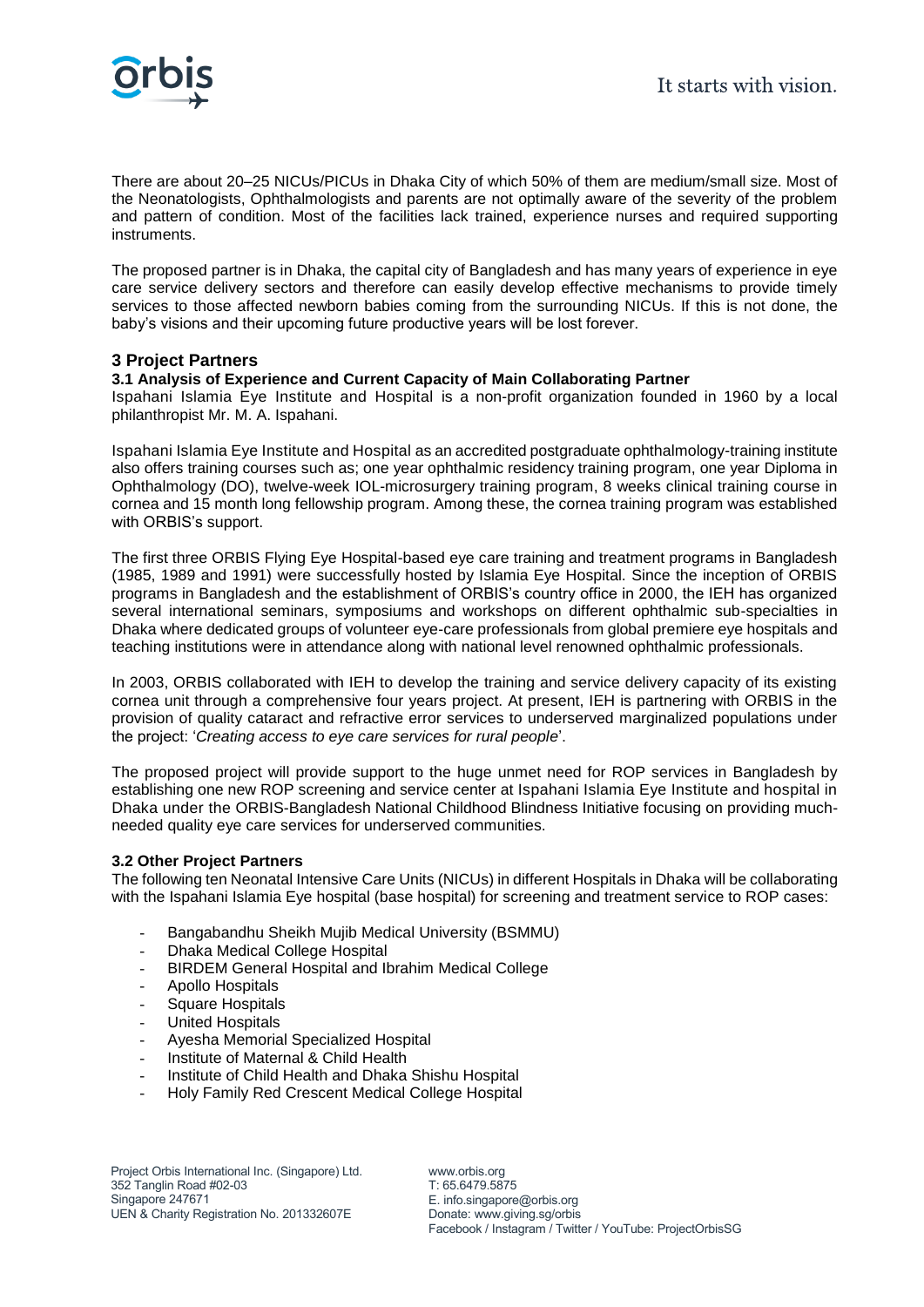

There are about 20–25 NICUs/PICUs in Dhaka City of which 50% of them are medium/small size. Most of the Neonatologists, Ophthalmologists and parents are not optimally aware of the severity of the problem and pattern of condition. Most of the facilities lack trained, experience nurses and required supporting instruments.

The proposed partner is in Dhaka, the capital city of Bangladesh and has many years of experience in eye care service delivery sectors and therefore can easily develop effective mechanisms to provide timely services to those affected newborn babies coming from the surrounding NICUs. If this is not done, the baby's visions and their upcoming future productive years will be lost forever.

## **3 Project Partners**

## **3.1 Analysis of Experience and Current Capacity of Main Collaborating Partner**

Ispahani Islamia Eye Institute and Hospital is a non-profit organization founded in 1960 by a local philanthropist Mr. M. A. Ispahani.

Ispahani Islamia Eye Institute and Hospital as an accredited postgraduate ophthalmology-training institute also offers training courses such as; one year ophthalmic residency training program, one year Diploma in Ophthalmology (DO), twelve-week IOL-microsurgery training program, 8 weeks clinical training course in cornea and 15 month long fellowship program. Among these, the cornea training program was established with ORBIS's support.

The first three ORBIS Flying Eye Hospital-based eye care training and treatment programs in Bangladesh (1985, 1989 and 1991) were successfully hosted by Islamia Eye Hospital. Since the inception of ORBIS programs in Bangladesh and the establishment of ORBIS's country office in 2000, the IEH has organized several international seminars, symposiums and workshops on different ophthalmic sub-specialties in Dhaka where dedicated groups of volunteer eye-care professionals from global premiere eye hospitals and teaching institutions were in attendance along with national level renowned ophthalmic professionals.

In 2003, ORBIS collaborated with IEH to develop the training and service delivery capacity of its existing cornea unit through a comprehensive four years project. At present, IEH is partnering with ORBIS in the provision of quality cataract and refractive error services to underserved marginalized populations under the project: '*Creating access to eye care services for rural people*'.

The proposed project will provide support to the huge unmet need for ROP services in Bangladesh by establishing one new ROP screening and service center at Ispahani Islamia Eye Institute and hospital in Dhaka under the ORBIS-Bangladesh National Childhood Blindness Initiative focusing on providing muchneeded quality eye care services for underserved communities.

## **3.2 Other Project Partners**

The following ten Neonatal Intensive Care Units (NICUs) in different Hospitals in Dhaka will be collaborating with the Ispahani Islamia Eye hospital (base hospital) for screening and treatment service to ROP cases:

- Bangabandhu Sheikh Mujib Medical University (BSMMU)
- Dhaka Medical College Hospital
- BIRDEM General Hospital and Ibrahim Medical College
- Apollo Hospitals
- Square Hospitals
- United Hospitals
- Ayesha Memorial Specialized Hospital
- Institute of Maternal & Child Health
- Institute of Child Health and Dhaka Shishu Hospital
- Holy Family Red Crescent Medical College Hospital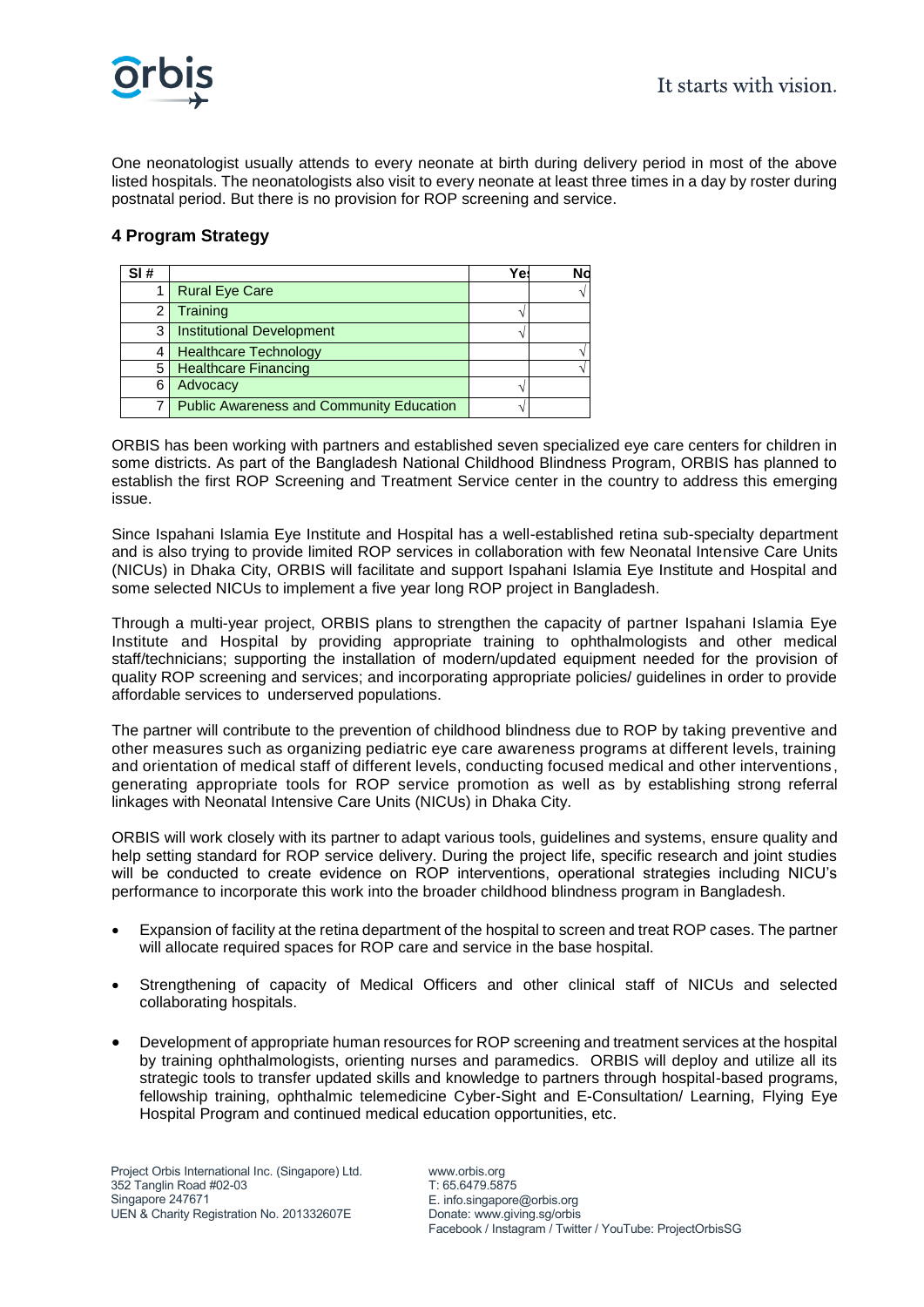One neonatologist usually attends to every neonate at birth during delivery period in most of the above listed hospitals. The neonatologists also visit to every neonate at least three times in a day by roster during postnatal period. But there is no provision for ROP screening and service.

# **4 Program Strategy**

| SI# |                                                 | Ye: | N٥ |
|-----|-------------------------------------------------|-----|----|
|     | <b>Rural Eye Care</b>                           |     |    |
| 2   | Training                                        |     |    |
| 3   | <b>Institutional Development</b>                |     |    |
|     | <b>Healthcare Technology</b>                    |     |    |
| 5   | <b>Healthcare Financing</b>                     |     |    |
| 6   | Advocacy                                        |     |    |
|     | <b>Public Awareness and Community Education</b> |     |    |

ORBIS has been working with partners and established seven specialized eye care centers for children in some districts. As part of the Bangladesh National Childhood Blindness Program, ORBIS has planned to establish the first ROP Screening and Treatment Service center in the country to address this emerging issue.

Since Ispahani Islamia Eye Institute and Hospital has a well-established retina sub-specialty department and is also trying to provide limited ROP services in collaboration with few Neonatal Intensive Care Units (NICUs) in Dhaka City, ORBIS will facilitate and support Ispahani Islamia Eye Institute and Hospital and some selected NICUs to implement a five year long ROP project in Bangladesh.

Through a multi-year project, ORBIS plans to strengthen the capacity of partner Ispahani Islamia Eye Institute and Hospital by providing appropriate training to ophthalmologists and other medical staff/technicians; supporting the installation of modern/updated equipment needed for the provision of quality ROP screening and services; and incorporating appropriate policies/ guidelines in order to provide affordable services to underserved populations.

The partner will contribute to the prevention of childhood blindness due to ROP by taking preventive and other measures such as organizing pediatric eye care awareness programs at different levels, training and orientation of medical staff of different levels, conducting focused medical and other interventions , generating appropriate tools for ROP service promotion as well as by establishing strong referral linkages with Neonatal Intensive Care Units (NICUs) in Dhaka City.

ORBIS will work closely with its partner to adapt various tools, guidelines and systems, ensure quality and help setting standard for ROP service delivery. During the project life, specific research and joint studies will be conducted to create evidence on ROP interventions, operational strategies including NICU's performance to incorporate this work into the broader childhood blindness program in Bangladesh.

- Expansion of facility at the retina department of the hospital to screen and treat ROP cases. The partner will allocate required spaces for ROP care and service in the base hospital.
- Strengthening of capacity of Medical Officers and other clinical staff of NICUs and selected collaborating hospitals.
- Development of appropriate human resources for ROP screening and treatment services at the hospital by training ophthalmologists, orienting nurses and paramedics. ORBIS will deploy and utilize all its strategic tools to transfer updated skills and knowledge to partners through hospital-based programs, fellowship training, ophthalmic telemedicine Cyber-Sight and E-Consultation/ Learning, Flying Eye Hospital Program and continued medical education opportunities, etc.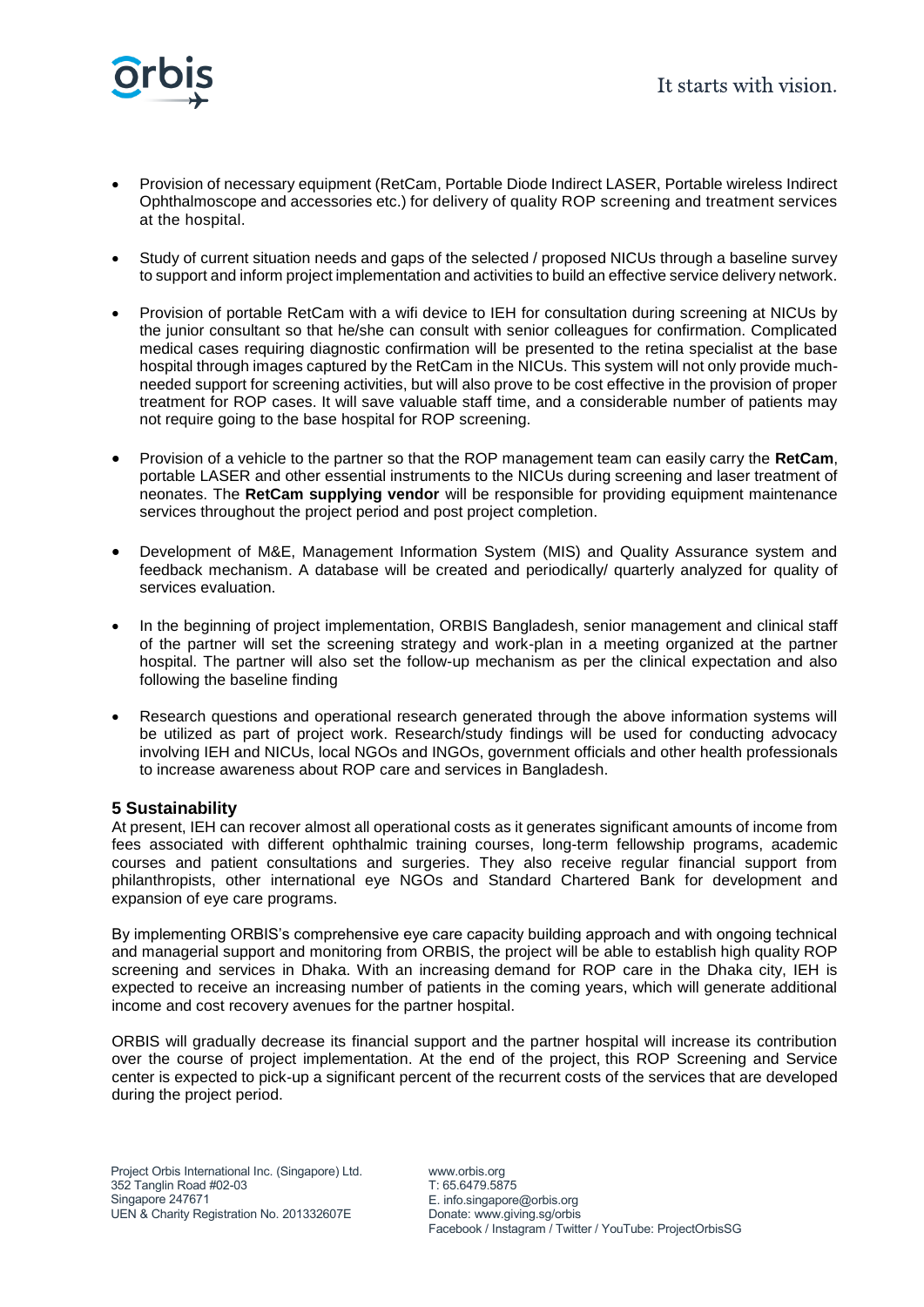

- Provision of necessary equipment (RetCam, Portable Diode Indirect LASER, Portable wireless Indirect Ophthalmoscope and accessories etc.) for delivery of quality ROP screening and treatment services at the hospital.
- Study of current situation needs and gaps of the selected / proposed NICUs through a baseline survey to support and inform project implementation and activities to build an effective service delivery network.
- Provision of portable RetCam with a wifi device to IEH for consultation during screening at NICUs by the junior consultant so that he/she can consult with senior colleagues for confirmation. Complicated medical cases requiring diagnostic confirmation will be presented to the retina specialist at the base hospital through images captured by the RetCam in the NICUs. This system will not only provide muchneeded support for screening activities, but will also prove to be cost effective in the provision of proper treatment for ROP cases. It will save valuable staff time, and a considerable number of patients may not require going to the base hospital for ROP screening.
- Provision of a vehicle to the partner so that the ROP management team can easily carry the **RetCam**, portable LASER and other essential instruments to the NICUs during screening and laser treatment of neonates. The **RetCam supplying vendor** will be responsible for providing equipment maintenance services throughout the project period and post project completion.
- Development of M&E, Management Information System (MIS) and Quality Assurance system and feedback mechanism. A database will be created and periodically/ quarterly analyzed for quality of services evaluation.
- In the beginning of project implementation, ORBIS Bangladesh, senior management and clinical staff of the partner will set the screening strategy and work-plan in a meeting organized at the partner hospital. The partner will also set the follow-up mechanism as per the clinical expectation and also following the baseline finding
- Research questions and operational research generated through the above information systems will be utilized as part of project work. Research/study findings will be used for conducting advocacy involving IEH and NICUs, local NGOs and INGOs, government officials and other health professionals to increase awareness about ROP care and services in Bangladesh.

# **5 Sustainability**

At present, IEH can recover almost all operational costs as it generates significant amounts of income from fees associated with different ophthalmic training courses, long-term fellowship programs, academic courses and patient consultations and surgeries. They also receive regular financial support from philanthropists, other international eye NGOs and Standard Chartered Bank for development and expansion of eye care programs.

By implementing ORBIS's comprehensive eye care capacity building approach and with ongoing technical and managerial support and monitoring from ORBIS, the project will be able to establish high quality ROP screening and services in Dhaka. With an increasing demand for ROP care in the Dhaka city, IEH is expected to receive an increasing number of patients in the coming years, which will generate additional income and cost recovery avenues for the partner hospital.

ORBIS will gradually decrease its financial support and the partner hospital will increase its contribution over the course of project implementation. At the end of the project, this ROP Screening and Service center is expected to pick-up a significant percent of the recurrent costs of the services that are developed during the project period.